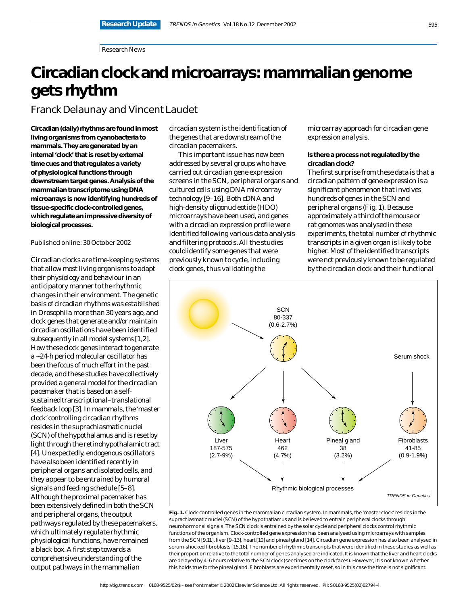Research News

# **Circadian clock and microarrays: mammalian genome gets rhythm**

Franck Delaunay and Vincent Laudet

**Circadian (daily) rhythms are found in most living organisms from cyanobacteria to mammals. They are generated by an internal 'clock' that is reset by external time cues and that regulates a variety of physiological functions through downstream target genes. Analysis of the mammalian transcriptome using DNA microarrays is now identifying hundreds of tissue-specific clock-controlled genes, which regulate an impressive diversity of biological processes.**

Published online: 30 October 2002

Circadian clocks are time-keeping systems that allow most living organisms to adapt their physiology and behaviour in an anticipatory manner to the rhythmic changes in their environment. The genetic basis of circadian rhythms was established in *Drosophila* more than 30 years ago, and clock genes that generate and/or maintain circadian oscillations have been identified subsequently in all model systems [1,2]. How these clock genes interact to generate a ~24-h period molecular oscillator has been the focus of much effort in the past decade, and these studies have collectively provided a general model for the circadian pacemaker that is based on a selfsustained transcriptional–translational feedback loop [3]. In mammals, the 'master clock'controlling circadian rhythms resides in the suprachiasmatic nuclei (SCN) of the hypothalamus and is reset by light through the retinohypothalamic tract [4]. Unexpectedly, endogenous oscillators have also been identified recently in peripheral organs and isolated cells, and they appear to be entrained by humoral signals and feeding schedule [5–8]. Although the proximal pacemaker has been extensively defined in both the SCN and peripheral organs, the output pathways regulated by these pacemakers, which ultimately regulate rhythmic physiological functions, have remained a black box. A first step towards a comprehensive understanding of the output pathways in the mammalian

circadian system is the identification of the genes that are downstream of the circadian pacemakers.

This important issue has now been addressed by several groups who have carried out circadian gene expression screens in the SCN, peripheral organs and cultured cells using DNA microarray technology [9–16]. Both cDNA and high-density oligonucleotide (HDO) microarrays have been used, and genes with a circadian expression profile were identified following various data analysis and filtering protocols. All the studies could identify some genes that were previously known to cycle, including clock genes, thus validating the

microarray approach for circadian gene expression analysis.

**Is there a process not regulated by the circadian clock?**

The first surprise from these data is that a circadian pattern of gene expression is a significant phenomenon that involves hundreds of genes in the SCN and peripheral organs (Fig. 1). Because approximately a third of the mouse or rat genomes was analysed in these experiments, the total number of rhythmic transcripts in a given organ is likely to be higher. Most of the identified transcripts were not previously known to be regulated by the circadian clock and their functional



**Fig. 1.** Clock-controlled genes in the mammalian circadian system. In mammals, the 'master clock' resides in the suprachiasmatic nuclei (SCN) of the hypothatlamus and is believed to entrain peripheral clocks through neurohormonal signals. The SCN clock is entrained by the solar cycle and peripheral clocks control rhythmic functions of the organism. Clock-controlled gene expression has been analysed using microarrays with samples from the SCN [9,11], liver [9–13], heart [10] and pineal gland [14]. Circadian gene expression has also been analysed in serum-shocked fibroblasts [15,16]. The number of rhythmic transcripts that were identified in these studies as well as their proportion relative to the total number of genes analysed are indicated. It is known that the liver and heart clocks are delayed by 4–6 hours relative to the SCN clock (see times on the clock faces). However, it is not known whether this holds true for the pineal gland. Fibroblasts are experimentally reset, so in this case the time is not significant.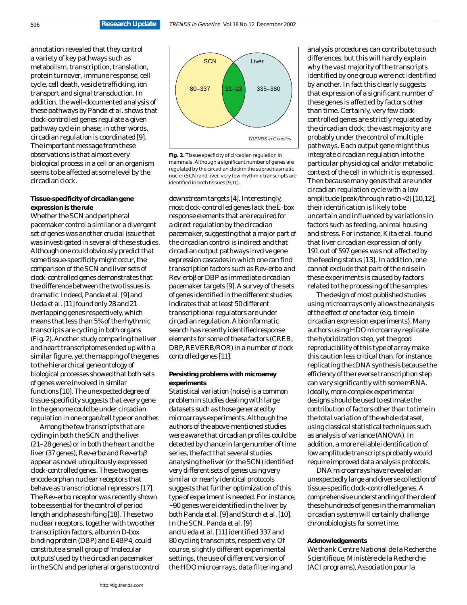annotation revealed that they control a variety of key pathways such as metabolism, transcription, translation, protein turnover, immune response, cell cycle, cell death, vesicle trafficking, ion transport and signal transduction. In addition, the well-documented analysis of these pathways by Panda *et al.* shows that clock-controlled genes regulate a given pathway cycle in phase; in other words, circadian regulation is coordinated [9]. The important message from these observations is that almost every biological process in a cell or an organism seems to be affected at some level by the circadian clock.

## **Tissue-specificity of circadian gene expression is the rule**

Whether the SCN and peripheral pacemaker control a similar or a divergent set of genes was another crucial issue that was investigated in several of these studies. Although one could obviously predict that some tissue-specificity might occur, the comparison of the SCN and liver sets of clock-controlled genes demonstrates that the difference between the two tissues is dramatic. Indeed, Panda *et al.*[9] and Ueda *et al.*[11] found only 28 and 21 overlapping genes respectively, which means that less than 5% of the rhythmic transcripts are cycling in both organs (Fig. 2). Another study comparing the liver and heart transcriptomes ended up with a similar figure, yet the mapping of the genes to the hierarchical gene ontology of biological processes showed that both sets of genes were involved in similar functions [10]. The unexpected degree of tissue-specificity suggests that every gene in the genome could be under circadian regulation in one organ/cell type or another.

Among the few transcripts that are cycling in both the SCN and the liver (21–28 genes) or in both the heart and the liver (37 genes), *Rev-erb*<sup>α</sup> and *Rev-erb*β appear as novel ubiquitously expressed clock-controlled genes. These two genes encode orphan nuclear receptors that behave as transcriptional repressors [17]. The Rev-erbα receptor was recently shown to be essential for the control of period length and phase shifting [18]. These two nuclear receptors, together with two other transcription factors, albumin D-box binding protein (DBP) and E4BP4, could constitute a small group of 'molecular outputs'used by the circadian pacemaker in the SCN and peripheral organs to control



**Fig. 2.** Tissue specficity of circadian regulation in mammals. Although a significant number of genes are regulated by the circadian clock in the suprachiasmatic nuclei (SCN) and liver, very few rhythmic transcripts are identified in both tissues [9,11].

downstream targets [4]. Interestingly, most clock-controlled genes lack the E-box response elements that are required for a direct regulation by the circadian pacemaker, suggesting that a major part of the circadian control is indirect and that circadian output pathways involve gene expression cascades in which one can find transcription factors such as Rev-erbα and Rev-erbβ or DBP as immediate circadian pacemaker targets [9]. A survey of the sets of genes identified in the different studies indicates that at least 50 different transcriptional regulators are under circadian regulation. A bioinformatic search has recently identified response elements for some of these factors (CREB, DBP, REVERB/ROR) in a number of clock controlled genes [11].

## **Persisting problems with microarray experiments**

Statistical variation (noise) is a common problem in studies dealing with large datasets such as those generated by microarrays experiments. Although the authors of the above-mentioned studies were aware that circadian profiles could be detected by chance in large number of time series, the fact that several studies analysing the liver (or the SCN) identified very different sets of genes using very similar or nearly identical protocols suggests that further optimization of this type of experiment is needed. For instance, ~90 genes were identified in the liver by both Panda *et al*. [9] and Storch *et al.* [10]. In the SCN, Panda *et al.* [9] and Ueda *et al.* [11] identified 337 and 80 cycling transcripts, respectively. Of course, slightly different experimental settings, the use of different version of the HDO microarrays, data filtering and

analysis procedures can contribute to such differences, but this will hardly explain why the vast majority of the transcripts identified by one group were not identified by another. In fact this clearly suggests that expression of a significant number of these genes is affected by factors other than time. Certainly, very few clockcontrolled genes are strictly regulated by the circadian clock; the vast majority are probably under the control of multiple pathways. Each output gene might thus integrate circadian regulation into the particular physiological and/or metabolic context of the cell in which it is expressed. Then because many genes that are under circadian regulation cycle with a low amplitude (peak/through ratio <2) [10,12], their identification is likely to be uncertain and influenced by variations in factors such as feeding, animal housing and stress. For instance, Kita *et al.* found that liver circadian expression of only 191 out of 597 genes was not affected by the feeding status [13]. In addition, one cannot exclude that part of the noise in these experiments is caused by factors related to the processing of the samples.

The design of most published studies using microarrays only allows the analysis of the effect of one factor (e.g. time in circadian expression experiments). Many authors using HDO microarray replicate the hybridization step, yet the good reproducibility of this type of array make this caution less critical than, for instance, replicating the cDNA synthesis because the efficiency of the reverse transcription step can vary significantly with some mRNA. Ideally, more-complex experimental designs should be used to estimate the contribution of factors other than to time in the total variation of the whole dataset, using classical statistical techniques such as analysis of variance (ANOVA). In addition, a more reliable identification of low amplitude transcripts probably would require improved data analysis protocols.

DNA microarrays have revealed an unexpectedly large and diverse collection of tissue-specific clock-controlled genes. A comprehensive understanding of the role of these hundreds of genes in the mammalian circadian system will certainly challenge chronobiologists for some time.

### **Acknowledgements**

We thank Centre National de la Recherche Scientifique, Ministère de la Recherche (ACI programs), Association pour la